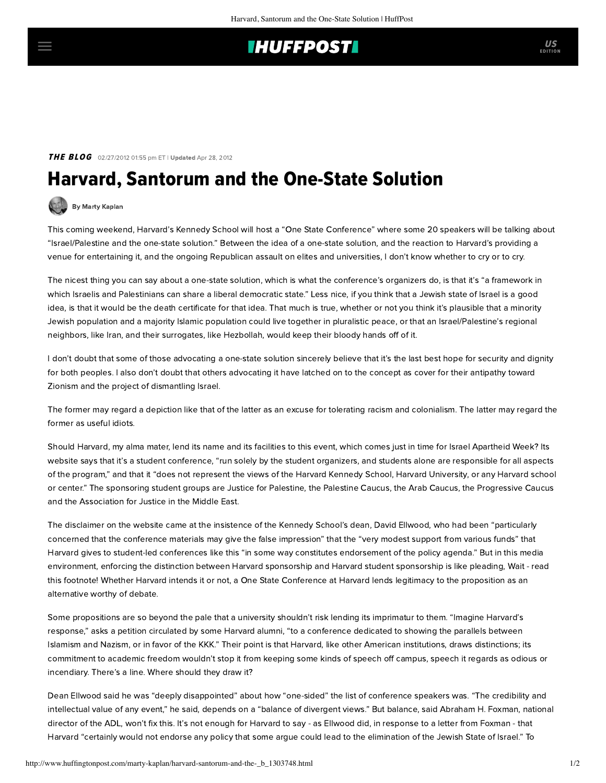## **IHUFFPOSTI**

### **THE BLOG** 02/27/2012 01:55 pm ET | Updated Apr 28, 2012

# Harvard, Santorum and the One-State Solution

## [By Marty Kaplan](http://www.huffingtonpost.com/author/marty-kaplan)

This coming weekend, Harvard's Kennedy School will host a ["One State Conference"](http://onestateconference.org/) where some 20 speakers will be talking about "Israel/Palestine and the one-state solution." Between the idea of a one-state solution, and the reaction to Harvard's providing a venue for entertaining it, and the ongoing Republican assault on elites and universities, I don't know whether to cry or to cry.

The nicest thing you can say about a one-state solution, which is what the conference's organizers do, is that it's "a framework in which Israelis and Palestinians can share a liberal democratic state." Less nice, if you think that a Jewish state of Israel is a good idea, is that it would be the death certificate for that idea. That much is true, whether or not you think it's plausible that a minority Jewish population and a majority Islamic population could live together in pluralistic peace, or that an Israel/Palestine's regional neighbors, like Iran, and their surrogates, like Hezbollah, would keep their bloody hands off of it.

I don't doubt that some of those advocating a one-state solution sincerely believe that it's the last best hope for security and dignity for both peoples. I also don't doubt that others advocating it have latched on to the concept as cover for their antipathy toward Zionism and the project of dismantling Israel.

The former may regard a depiction like that of the latter as an excuse for tolerating racism and colonialism. The latter may regard the former as useful idiots.

Should Harvard, my alma mater, lend its name and its facilities to this event, which comes just in time for [Israel Apartheid Week](http://www.jewishjournal.com/rabbijohnrosovesblog/item/there_you_go_again_the_bds_movement_and_israel_apartheid_week_20120223/)? Its website says that it's a student conference, "run solely by the student organizers, and students alone are responsible for all aspects of the program," and that it "does not represent the views of the Harvard Kennedy School, Harvard University, or any Harvard school or center." The sponsoring student groups are Justice for Palestine, the Palestine Caucus, the Arab Caucus, the Progressive Caucus and the Association for Justice in the Middle East.

The disclaimer on the website came at the [insistence](http://www.standwithus.com/app/inews/view_n.asp?ID=2176) of the Kennedy School's dean, David Ellwood, who had been "particularly concerned that the conference materials may give the false impression" that the "very modest support from various funds" that Harvard gives to student-led conferences like this "in some way constitutes endorsement of the policy agenda." But in this media environment, enforcing the distinction between Harvard sponsorship and Harvard student sponsorship is like pleading, Wait - read this footnote! Whether Harvard intends it or not, a One State Conference at Harvard lends legitimacy to the proposition as an alternative worthy of debate.

Some propositions are so beyond the pale that a university shouldn't risk lending its imprimatur to them. "Imagine Harvard's response," asks a petition circulated by some Harvard alumni, "to a conference dedicated to showing the parallels between Islamism and Nazism, or in favor of the KKK." Their point is that Harvard, like other American institutions, draws distinctions; its commitment to academic freedom wouldn't stop it from keeping some kinds of speech off campus, speech it regards as odious or incendiary. There's a line. Where should they draw it?

Dean Ellwood said he was "deeply disappointed" about how "one-sided" the list of conference speakers was. "The credibility and intellectual value of any event," he said, depends on a "balance of divergent views." But balance, [said Abraham H. Foxman](http://www.adl.org/PresRele/IslME_62/6248_62), national director of the ADL, won't fix this. It's not enough for Harvard to say - as Ellwood did, in response toa [letter](http://www.adl.org/main_Israel/022312_HarvardUniv.htm) from Foxman - that Harvard "certainly would not endorse any policy that some argue could lead to the elimination of the Jewish State of Israel." To